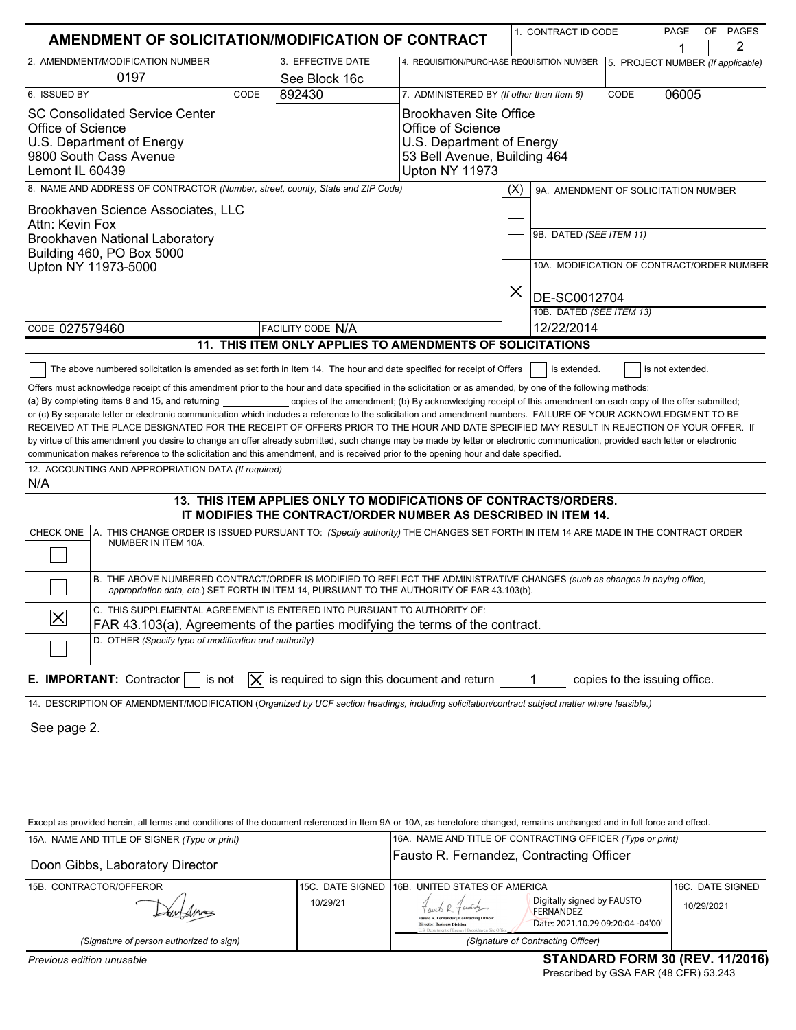| <b>AMENDMENT OF SOLICITATION/MODIFICATION OF CONTRACT</b>                                                                                                                                                                                                                                                                                                                                                                                                                                                                                                                                                                                                                                                                                                                                                                                            |                                                                                                                                    |                                                                                                                            | 1. CONTRACT ID CODE                        | PAGE<br>OF PAGES<br>2                |
|------------------------------------------------------------------------------------------------------------------------------------------------------------------------------------------------------------------------------------------------------------------------------------------------------------------------------------------------------------------------------------------------------------------------------------------------------------------------------------------------------------------------------------------------------------------------------------------------------------------------------------------------------------------------------------------------------------------------------------------------------------------------------------------------------------------------------------------------------|------------------------------------------------------------------------------------------------------------------------------------|----------------------------------------------------------------------------------------------------------------------------|--------------------------------------------|--------------------------------------|
| 2. AMENDMENT/MODIFICATION NUMBER<br>0197                                                                                                                                                                                                                                                                                                                                                                                                                                                                                                                                                                                                                                                                                                                                                                                                             | 3. EFFECTIVE DATE<br>See Block 16c                                                                                                 | 4. REQUISITION/PURCHASE REQUISITION NUMBER                                                                                 |                                            | 5. PROJECT NUMBER (If applicable)    |
| 6. ISSUED BY<br>CODE                                                                                                                                                                                                                                                                                                                                                                                                                                                                                                                                                                                                                                                                                                                                                                                                                                 | 892430                                                                                                                             | 7. ADMINISTERED BY (If other than Item 6)                                                                                  |                                            | CODE<br>06005                        |
| <b>SC Consolidated Service Center</b><br>Office of Science<br>U.S. Department of Energy<br>9800 South Cass Avenue<br>Lemont IL 60439                                                                                                                                                                                                                                                                                                                                                                                                                                                                                                                                                                                                                                                                                                                 |                                                                                                                                    | Brookhaven Site Office<br>Office of Science<br>U.S. Department of Energy<br>53 Bell Avenue, Building 464<br>Upton NY 11973 |                                            |                                      |
| 8. NAME AND ADDRESS OF CONTRACTOR (Number, street, county, State and ZIP Code)                                                                                                                                                                                                                                                                                                                                                                                                                                                                                                                                                                                                                                                                                                                                                                       |                                                                                                                                    |                                                                                                                            | (X)                                        | 9A. AMENDMENT OF SOLICITATION NUMBER |
| Brookhaven Science Associates, LLC<br>Attn: Kevin Fox<br>Brookhaven National Laboratory<br>Building 460, PO Box 5000<br>Upton NY 11973-5000                                                                                                                                                                                                                                                                                                                                                                                                                                                                                                                                                                                                                                                                                                          |                                                                                                                                    | 9B. DATED (SEE ITEM 11)<br>$ \mathsf{X} $<br>DE-SC0012704                                                                  | 10A. MODIFICATION OF CONTRACT/ORDER NUMBER |                                      |
|                                                                                                                                                                                                                                                                                                                                                                                                                                                                                                                                                                                                                                                                                                                                                                                                                                                      |                                                                                                                                    |                                                                                                                            | 10B. DATED (SEE ITEM 13)                   |                                      |
| CODE 027579460                                                                                                                                                                                                                                                                                                                                                                                                                                                                                                                                                                                                                                                                                                                                                                                                                                       | <b>FACILITY CODE N/A</b>                                                                                                           |                                                                                                                            | 12/22/2014                                 |                                      |
|                                                                                                                                                                                                                                                                                                                                                                                                                                                                                                                                                                                                                                                                                                                                                                                                                                                      | 11. THIS ITEM ONLY APPLIES TO AMENDMENTS OF SOLICITATIONS                                                                          |                                                                                                                            |                                            |                                      |
| or (c) By separate letter or electronic communication which includes a reference to the solicitation and amendment numbers. FAILURE OF YOUR ACKNOWLEDGMENT TO BE<br>RECEIVED AT THE PLACE DESIGNATED FOR THE RECEIPT OF OFFERS PRIOR TO THE HOUR AND DATE SPECIFIED MAY RESULT IN REJECTION OF YOUR OFFER. If<br>by virtue of this amendment you desire to change an offer already submitted, such change may be made by letter or electronic communication, provided each letter or electronic<br>communication makes reference to the solicitation and this amendment, and is received prior to the opening hour and date specified.<br>12. ACCOUNTING AND APPROPRIATION DATA (If required)<br>N/A<br>A. THIS CHANGE ORDER IS ISSUED PURSUANT TO: (Specify authority) THE CHANGES SET FORTH IN ITEM 14 ARE MADE IN THE CONTRACT ORDER<br>CHECK ONE | 13. THIS ITEM APPLIES ONLY TO MODIFICATIONS OF CONTRACTS/ORDERS.<br>IT MODIFIES THE CONTRACT/ORDER NUMBER AS DESCRIBED IN ITEM 14. |                                                                                                                            |                                            |                                      |
| NUMBER IN ITEM 10A.<br>B. THE ABOVE NUMBERED CONTRACT/ORDER IS MODIFIED TO REFLECT THE ADMINISTRATIVE CHANGES (such as changes in paying office,                                                                                                                                                                                                                                                                                                                                                                                                                                                                                                                                                                                                                                                                                                     |                                                                                                                                    |                                                                                                                            |                                            |                                      |
| appropriation data, etc.) SET FORTH IN ITEM 14, PURSUANT TO THE AUTHORITY OF FAR 43.103(b).<br>C. THIS SUPPLEMENTAL AGREEMENT IS ENTERED INTO PURSUANT TO AUTHORITY OF:<br>$ \boldsymbol{\mathsf{X}} $<br>FAR 43.103(a), Agreements of the parties modifying the terms of the contract.<br>D. OTHER (Specify type of modification and authority)                                                                                                                                                                                                                                                                                                                                                                                                                                                                                                     |                                                                                                                                    |                                                                                                                            |                                            |                                      |
|                                                                                                                                                                                                                                                                                                                                                                                                                                                                                                                                                                                                                                                                                                                                                                                                                                                      |                                                                                                                                    |                                                                                                                            |                                            |                                      |
| E. IMPORTANT: Contractor<br>is not<br>IXI<br>14. DESCRIPTION OF AMENDMENT/MODIFICATION (Organized by UCF section headings, including solicitation/contract subject matter where feasible.)<br>See page 2.                                                                                                                                                                                                                                                                                                                                                                                                                                                                                                                                                                                                                                            | is required to sign this document and return                                                                                       |                                                                                                                            |                                            | copies to the issuing office.        |
| Except as provided herein, all terms and conditions of the document referenced in Item 9A or 10A, as heretofore changed, remains unchanged and in full force and effect.                                                                                                                                                                                                                                                                                                                                                                                                                                                                                                                                                                                                                                                                             |                                                                                                                                    |                                                                                                                            |                                            |                                      |
| 15A. NAME AND TITLE OF SIGNER (Type or print)<br>Doon Gibbs, Laboratory Director                                                                                                                                                                                                                                                                                                                                                                                                                                                                                                                                                                                                                                                                                                                                                                     |                                                                                                                                    | 16A. NAME AND TITLE OF CONTRACTING OFFICER (Type or print)<br>Fausto R. Fernandez, Contracting Officer                     |                                            |                                      |
| 15B. CONTRACTOR/OFFEROR                                                                                                                                                                                                                                                                                                                                                                                                                                                                                                                                                                                                                                                                                                                                                                                                                              |                                                                                                                                    | 15C. DATE SIGNED 16B. UNITED STATES OF AMERICA                                                                             |                                            | 16C. DATE SIGNED                     |

| (Signature of person authorized to sign) |
|------------------------------------------|

 $\subset$ 

*(Signature of Contracting Officer)*

FERNANDEZ

Date: 2021.10.29 09:20:04 -04'00'

10/29/21 10/29/2021 Digitally signed by FAUSTO

ng Office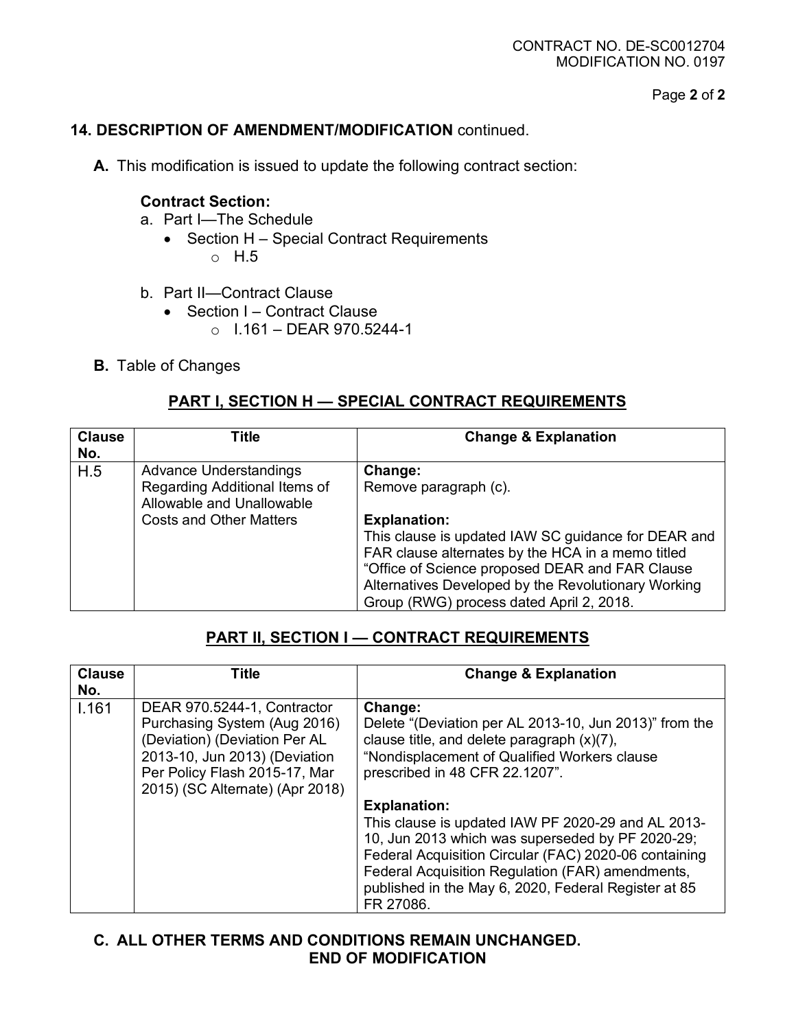Page **2** of **2**

### **14. DESCRIPTION OF AMENDMENT/MODIFICATION** continued.

**A.** This modification is issued to update the following contract section:

#### **Contract Section:**

- a. Part I—The Schedule
	- Section H Special Contract Requirements o H.5
- b. Part II—Contract Clause
	- Section I Contract Clause
		- $O$  1.161 DEAR 970.5244-1
- **B.** Table of Changes

### **PART I, SECTION H — SPECIAL CONTRACT REQUIREMENTS**

| <b>Clause</b><br>No. | Title                                                                                                                         | <b>Change &amp; Explanation</b>                                                                                                                                                                                                                                                                                           |
|----------------------|-------------------------------------------------------------------------------------------------------------------------------|---------------------------------------------------------------------------------------------------------------------------------------------------------------------------------------------------------------------------------------------------------------------------------------------------------------------------|
| H.5                  | <b>Advance Understandings</b><br>Regarding Additional Items of<br>Allowable and Unallowable<br><b>Costs and Other Matters</b> | Change:<br>Remove paragraph (c).<br><b>Explanation:</b><br>This clause is updated IAW SC guidance for DEAR and<br>FAR clause alternates by the HCA in a memo titled<br>"Office of Science proposed DEAR and FAR Clause<br>Alternatives Developed by the Revolutionary Working<br>Group (RWG) process dated April 2, 2018. |

# **PART II, SECTION I — CONTRACT REQUIREMENTS**

| <b>Clause</b><br>No. | Title                                                                                                                                                                                             | <b>Change &amp; Explanation</b>                                                                                                                                                                                                                                                          |
|----------------------|---------------------------------------------------------------------------------------------------------------------------------------------------------------------------------------------------|------------------------------------------------------------------------------------------------------------------------------------------------------------------------------------------------------------------------------------------------------------------------------------------|
| 1.161                | DEAR 970.5244-1, Contractor<br>Purchasing System (Aug 2016)<br>(Deviation) (Deviation Per AL<br>2013-10, Jun 2013) (Deviation<br>Per Policy Flash 2015-17, Mar<br>2015) (SC Alternate) (Apr 2018) | Change:<br>Delete "(Deviation per AL 2013-10, Jun 2013)" from the<br>clause title, and delete paragraph $(x)(7)$ ,<br>"Nondisplacement of Qualified Workers clause<br>prescribed in 48 CFR 22.1207".<br><b>Explanation:</b>                                                              |
|                      |                                                                                                                                                                                                   | This clause is updated IAW PF 2020-29 and AL 2013-<br>10, Jun 2013 which was superseded by PF 2020-29;<br>Federal Acquisition Circular (FAC) 2020-06 containing<br>Federal Acquisition Regulation (FAR) amendments,<br>published in the May 6, 2020, Federal Register at 85<br>FR 27086. |

## **C. ALL OTHER TERMS AND CONDITIONS REMAIN UNCHANGED. END OF MODIFICATION**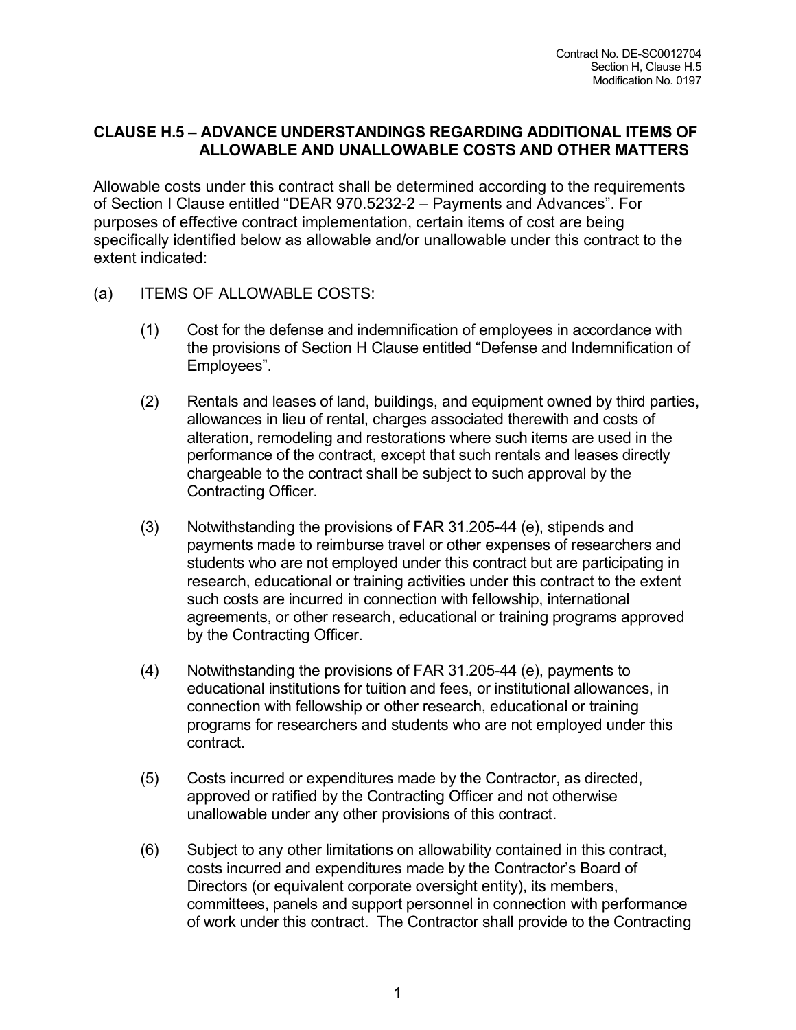## **CLAUSE H.5 – ADVANCE UNDERSTANDINGS REGARDING ADDITIONAL ITEMS OF ALLOWABLE AND UNALLOWABLE COSTS AND OTHER MATTERS**

Allowable costs under this contract shall be determined according to the requirements of Section I Clause entitled "DEAR 970.5232-2 – Payments and Advances". For purposes of effective contract implementation, certain items of cost are being specifically identified below as allowable and/or unallowable under this contract to the extent indicated:

- (a) ITEMS OF ALLOWABLE COSTS:
	- (1) Cost for the defense and indemnification of employees in accordance with the provisions of Section H Clause entitled "Defense and Indemnification of Employees".
	- (2) Rentals and leases of land, buildings, and equipment owned by third parties, allowances in lieu of rental, charges associated therewith and costs of alteration, remodeling and restorations where such items are used in the performance of the contract, except that such rentals and leases directly chargeable to the contract shall be subject to such approval by the Contracting Officer.
	- (3) Notwithstanding the provisions of FAR 31.205-44 (e), stipends and payments made to reimburse travel or other expenses of researchers and students who are not employed under this contract but are participating in research, educational or training activities under this contract to the extent such costs are incurred in connection with fellowship, international agreements, or other research, educational or training programs approved by the Contracting Officer.
	- (4) Notwithstanding the provisions of FAR 31.205-44 (e), payments to educational institutions for tuition and fees, or institutional allowances, in connection with fellowship or other research, educational or training programs for researchers and students who are not employed under this contract.
	- (5) Costs incurred or expenditures made by the Contractor, as directed, approved or ratified by the Contracting Officer and not otherwise unallowable under any other provisions of this contract.
	- (6) Subject to any other limitations on allowability contained in this contract, costs incurred and expenditures made by the Contractor's Board of Directors (or equivalent corporate oversight entity), its members, committees, panels and support personnel in connection with performance of work under this contract. The Contractor shall provide to the Contracting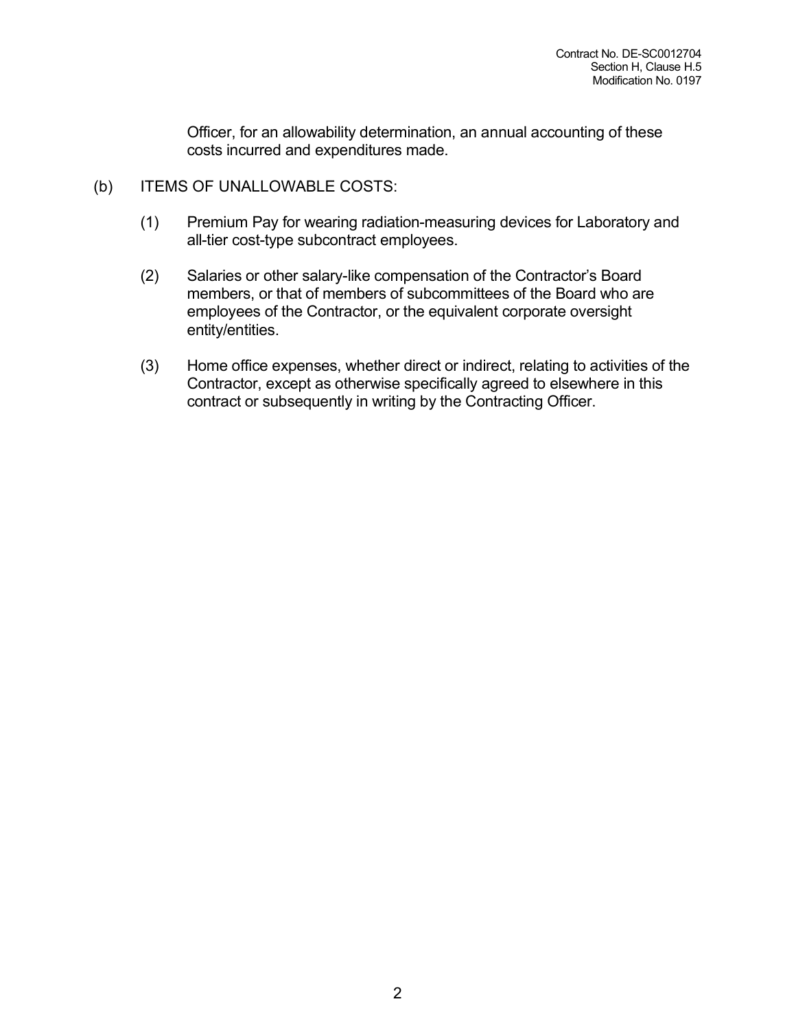Officer, for an allowability determination, an annual accounting of these costs incurred and expenditures made.

- (b) ITEMS OF UNALLOWABLE COSTS:
	- (1) Premium Pay for wearing radiation-measuring devices for Laboratory and all-tier cost-type subcontract employees.
	- (2) Salaries or other salary-like compensation of the Contractor's Board members, or that of members of subcommittees of the Board who are employees of the Contractor, or the equivalent corporate oversight entity/entities.
	- (3) Home office expenses, whether direct or indirect, relating to activities of the Contractor, except as otherwise specifically agreed to elsewhere in this contract or subsequently in writing by the Contracting Officer.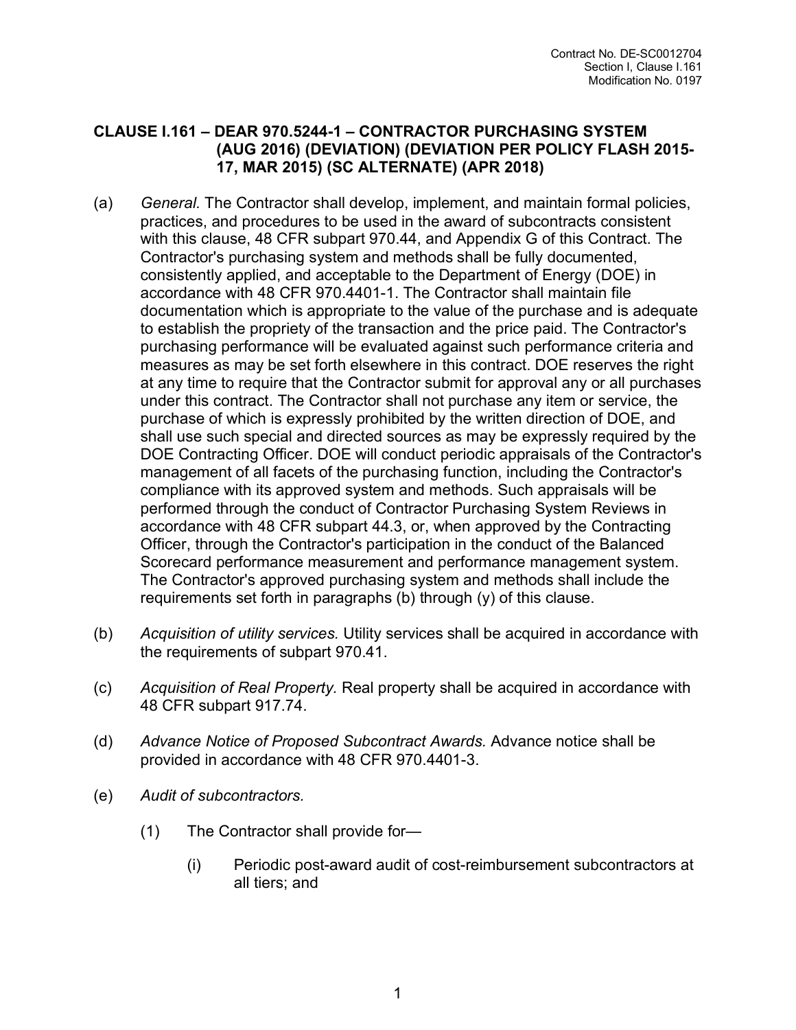## **CLAUSE I.161 – DEAR 970.5244-1 – CONTRACTOR PURCHASING SYSTEM (AUG 2016) (DEVIATION) (DEVIATION PER POLICY FLASH 2015- 17, MAR 2015) (SC ALTERNATE) (APR 2018)**

- (a) *General.* The Contractor shall develop, implement, and maintain formal policies, practices, and procedures to be used in the award of subcontracts consistent with this clause, 48 CFR subpart 970.44, and Appendix G of this Contract. The Contractor's purchasing system and methods shall be fully documented, consistently applied, and acceptable to the Department of Energy (DOE) in accordance with 48 CFR 970.4401-1. The Contractor shall maintain file documentation which is appropriate to the value of the purchase and is adequate to establish the propriety of the transaction and the price paid. The Contractor's purchasing performance will be evaluated against such performance criteria and measures as may be set forth elsewhere in this contract. DOE reserves the right at any time to require that the Contractor submit for approval any or all purchases under this contract. The Contractor shall not purchase any item or service, the purchase of which is expressly prohibited by the written direction of DOE, and shall use such special and directed sources as may be expressly required by the DOE Contracting Officer. DOE will conduct periodic appraisals of the Contractor's management of all facets of the purchasing function, including the Contractor's compliance with its approved system and methods. Such appraisals will be performed through the conduct of Contractor Purchasing System Reviews in accordance with 48 CFR subpart 44.3, or, when approved by the Contracting Officer, through the Contractor's participation in the conduct of the Balanced Scorecard performance measurement and performance management system. The Contractor's approved purchasing system and methods shall include the requirements set forth in paragraphs (b) through (y) of this clause.
- (b) *Acquisition of utility services.* Utility services shall be acquired in accordance with the requirements of subpart 970.41.
- (c) *Acquisition of Real Property.* Real property shall be acquired in accordance with 48 CFR subpart 917.74.
- (d) *Advance Notice of Proposed Subcontract Awards.* Advance notice shall be provided in accordance with 48 CFR 970.4401-3.
- (e) *Audit of subcontractors.*
	- (1) The Contractor shall provide for—
		- (i) Periodic post-award audit of cost-reimbursement subcontractors at all tiers; and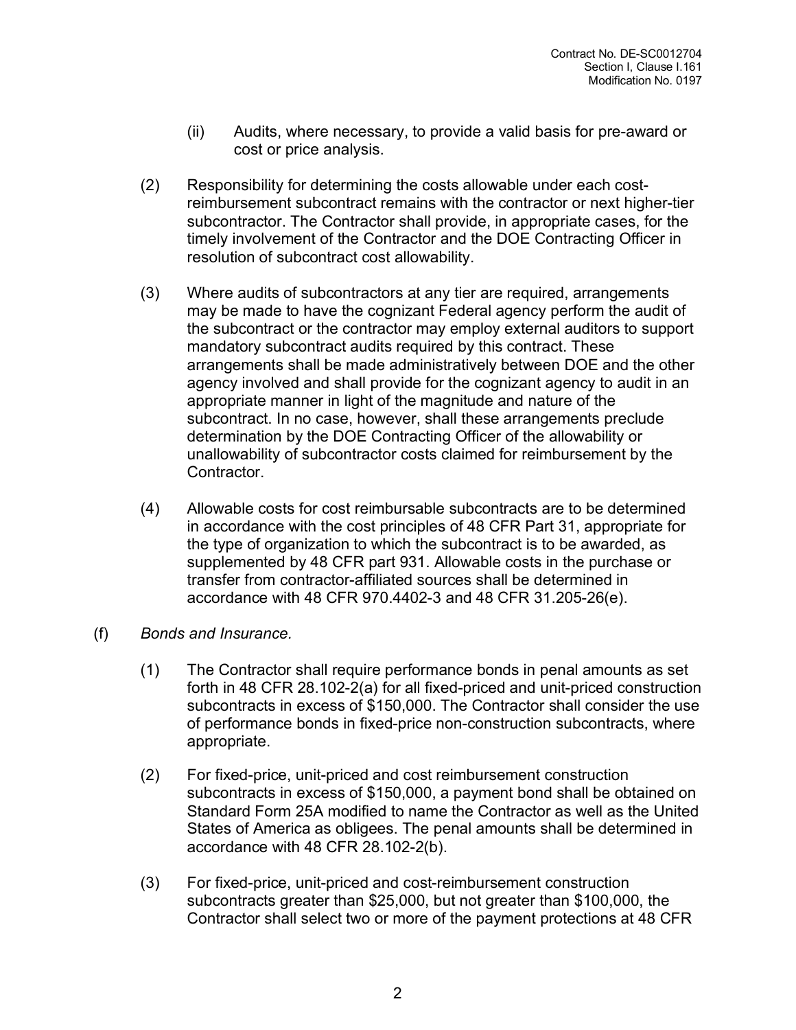- (ii) Audits, where necessary, to provide a valid basis for pre-award or cost or price analysis.
- (2) Responsibility for determining the costs allowable under each costreimbursement subcontract remains with the contractor or next higher-tier subcontractor. The Contractor shall provide, in appropriate cases, for the timely involvement of the Contractor and the DOE Contracting Officer in resolution of subcontract cost allowability.
- (3) Where audits of subcontractors at any tier are required, arrangements may be made to have the cognizant Federal agency perform the audit of the subcontract or the contractor may employ external auditors to support mandatory subcontract audits required by this contract. These arrangements shall be made administratively between DOE and the other agency involved and shall provide for the cognizant agency to audit in an appropriate manner in light of the magnitude and nature of the subcontract. In no case, however, shall these arrangements preclude determination by the DOE Contracting Officer of the allowability or unallowability of subcontractor costs claimed for reimbursement by the Contractor.
- (4) Allowable costs for cost reimbursable subcontracts are to be determined in accordance with the cost principles of 48 CFR Part 31, appropriate for the type of organization to which the subcontract is to be awarded, as supplemented by 48 CFR part 931. Allowable costs in the purchase or transfer from contractor-affiliated sources shall be determined in accordance with 48 CFR 970.4402-3 and 48 CFR 31.205-26(e).
- (f) *Bonds and Insurance.*
	- (1) The Contractor shall require performance bonds in penal amounts as set forth in 48 CFR 28.102-2(a) for all fixed-priced and unit-priced construction subcontracts in excess of \$150,000. The Contractor shall consider the use of performance bonds in fixed-price non-construction subcontracts, where appropriate.
	- (2) For fixed-price, unit-priced and cost reimbursement construction subcontracts in excess of \$150,000, a payment bond shall be obtained on Standard Form 25A modified to name the Contractor as well as the United States of America as obligees. The penal amounts shall be determined in accordance with 48 CFR 28.102-2(b).
	- (3) For fixed-price, unit-priced and cost-reimbursement construction subcontracts greater than \$25,000, but not greater than \$100,000, the Contractor shall select two or more of the payment protections at 48 CFR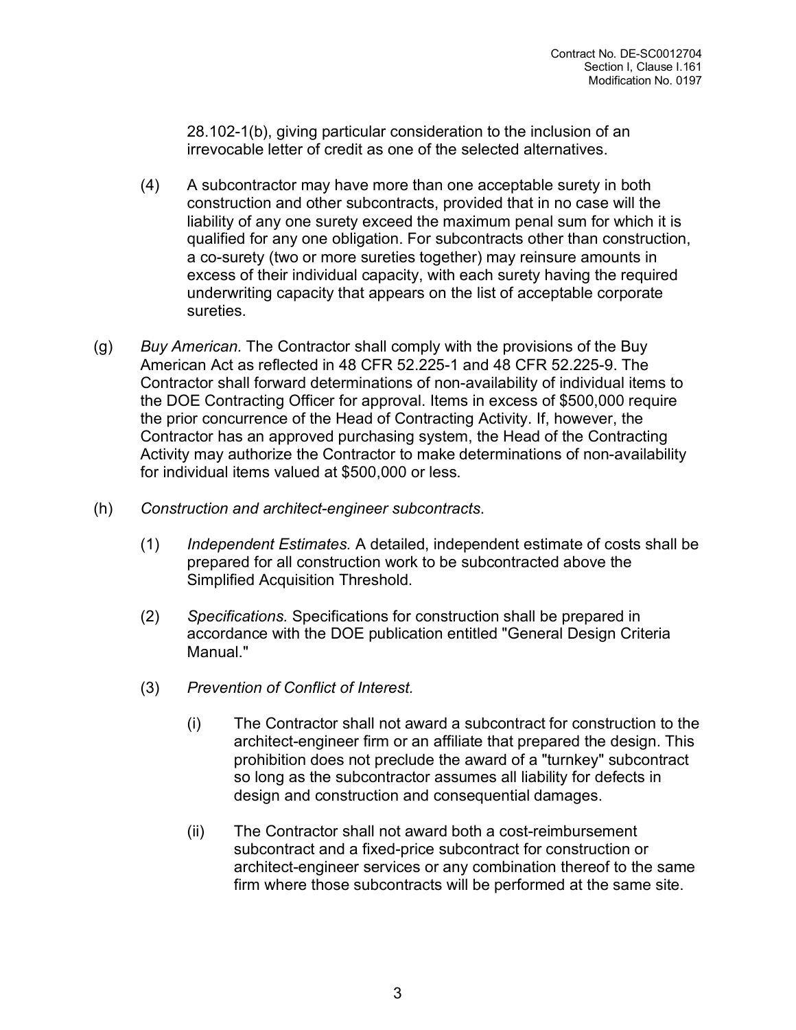28.102-1(b), giving particular consideration to the inclusion of an irrevocable letter of credit as one of the selected alternatives.

- (4) A subcontractor may have more than one acceptable surety in both construction and other subcontracts, provided that in no case will the liability of any one surety exceed the maximum penal sum for which it is qualified for any one obligation. For subcontracts other than construction, a co-surety (two or more sureties together) may reinsure amounts in excess of their individual capacity, with each surety having the required underwriting capacity that appears on the list of acceptable corporate sureties.
- (g) *Buy American.* The Contractor shall comply with the provisions of the Buy American Act as reflected in 48 CFR 52.225-1 and 48 CFR 52.225-9. The Contractor shall forward determinations of non-availability of individual items to the DOE Contracting Officer for approval. Items in excess of \$500,000 require the prior concurrence of the Head of Contracting Activity. If, however, the Contractor has an approved purchasing system, the Head of the Contracting Activity may authorize the Contractor to make determinations of non-availability for individual items valued at \$500,000 or less.
- (h) *Construction and architect-engineer subcontracts*.
	- (1) *Independent Estimates.* A detailed, independent estimate of costs shall be prepared for all construction work to be subcontracted above the Simplified Acquisition Threshold.
	- (2) *Specifications.* Specifications for construction shall be prepared in accordance with the DOE publication entitled "General Design Criteria Manual."
	- (3) *Prevention of Conflict of Interest.*
		- (i) The Contractor shall not award a subcontract for construction to the architect-engineer firm or an affiliate that prepared the design. This prohibition does not preclude the award of a "turnkey" subcontract so long as the subcontractor assumes all liability for defects in design and construction and consequential damages.
		- (ii) The Contractor shall not award both a cost-reimbursement subcontract and a fixed-price subcontract for construction or architect-engineer services or any combination thereof to the same firm where those subcontracts will be performed at the same site.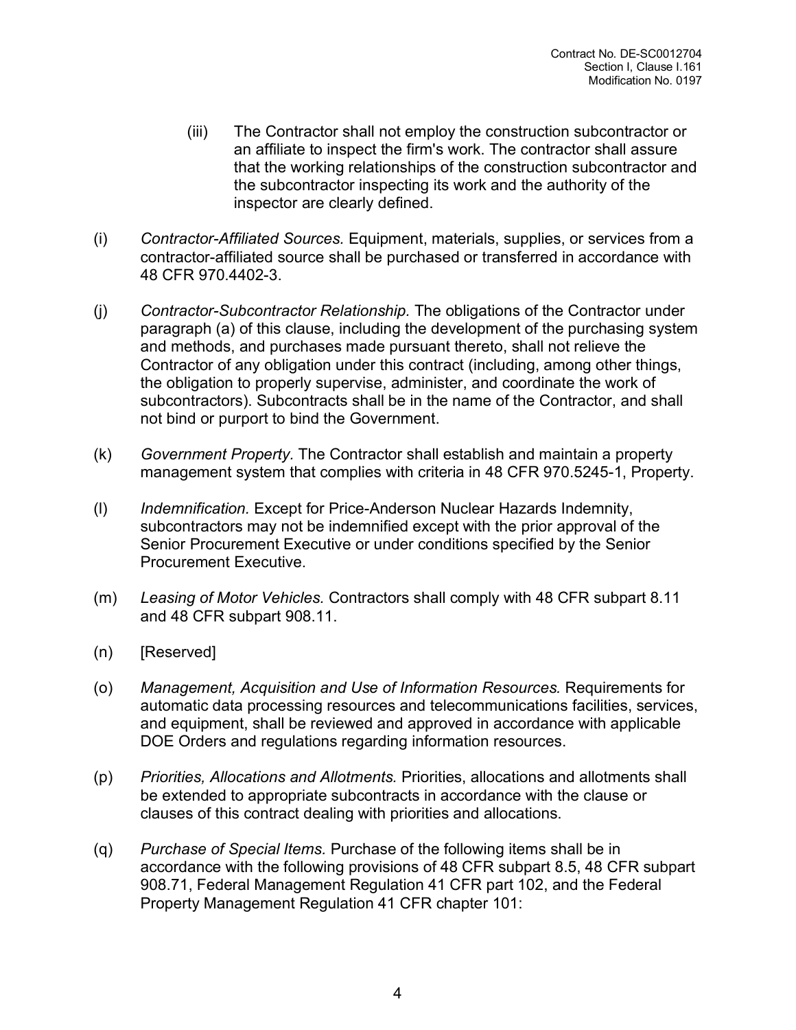- (iii) The Contractor shall not employ the construction subcontractor or an affiliate to inspect the firm's work. The contractor shall assure that the working relationships of the construction subcontractor and the subcontractor inspecting its work and the authority of the inspector are clearly defined.
- (i) *Contractor-Affiliated Sources.* Equipment, materials, supplies, or services from a contractor-affiliated source shall be purchased or transferred in accordance with 48 CFR 970.4402-3.
- (j) *Contractor-Subcontractor Relationship.* The obligations of the Contractor under paragraph (a) of this clause, including the development of the purchasing system and methods, and purchases made pursuant thereto, shall not relieve the Contractor of any obligation under this contract (including, among other things, the obligation to properly supervise, administer, and coordinate the work of subcontractors). Subcontracts shall be in the name of the Contractor, and shall not bind or purport to bind the Government.
- (k) *Government Property.* The Contractor shall establish and maintain a property management system that complies with criteria in 48 CFR 970.5245-1, Property.
- (l) *Indemnification.* Except for Price-Anderson Nuclear Hazards Indemnity, subcontractors may not be indemnified except with the prior approval of the Senior Procurement Executive or under conditions specified by the Senior Procurement Executive.
- (m) *Leasing of Motor Vehicles.* Contractors shall comply with 48 CFR subpart 8.11 and 48 CFR subpart 908.11.
- (n) [Reserved]
- (o) *Management, Acquisition and Use of Information Resources.* Requirements for automatic data processing resources and telecommunications facilities, services, and equipment, shall be reviewed and approved in accordance with applicable DOE Orders and regulations regarding information resources.
- (p) *Priorities, Allocations and Allotments.* Priorities, allocations and allotments shall be extended to appropriate subcontracts in accordance with the clause or clauses of this contract dealing with priorities and allocations.
- (q) *Purchase of Special Items.* Purchase of the following items shall be in accordance with the following provisions of 48 CFR subpart 8.5, 48 CFR subpart 908.71, Federal Management Regulation 41 CFR part 102, and the Federal Property Management Regulation 41 CFR chapter 101: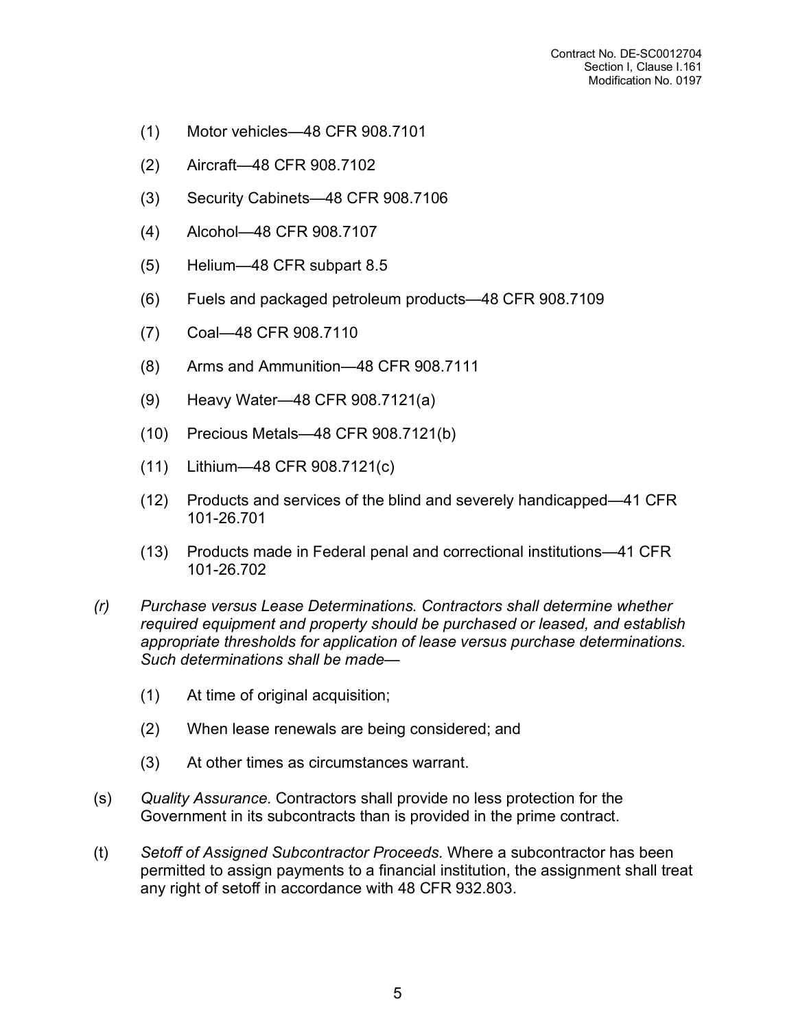- (1) Motor vehicles—48 CFR 908.7101
- (2) Aircraft—48 CFR 908.7102
- (3) Security Cabinets—48 CFR 908.7106
- (4) Alcohol—48 CFR 908.7107
- (5) Helium—48 CFR subpart 8.5
- (6) Fuels and packaged petroleum products—48 CFR 908.7109
- (7) Coal—48 CFR 908.7110
- (8) Arms and Ammunition—48 CFR 908.7111
- (9) Heavy Water—48 CFR 908.7121(a)
- (10) Precious Metals—48 CFR 908.7121(b)
- (11) Lithium—48 CFR 908.7121(c)
- (12) Products and services of the blind and severely handicapped—41 CFR 101-26.701
- (13) Products made in Federal penal and correctional institutions—41 CFR 101-26.702
- *(r) Purchase versus Lease Determinations. Contractors shall determine whether required equipment and property should be purchased or leased, and establish appropriate thresholds for application of lease versus purchase determinations. Such determinations shall be made—*
	- (1) At time of original acquisition;
	- (2) When lease renewals are being considered; and
	- (3) At other times as circumstances warrant.
- (s) *Quality Assurance.* Contractors shall provide no less protection for the Government in its subcontracts than is provided in the prime contract.
- (t) *Setoff of Assigned Subcontractor Proceeds.* Where a subcontractor has been permitted to assign payments to a financial institution, the assignment shall treat any right of setoff in accordance with 48 CFR 932.803.